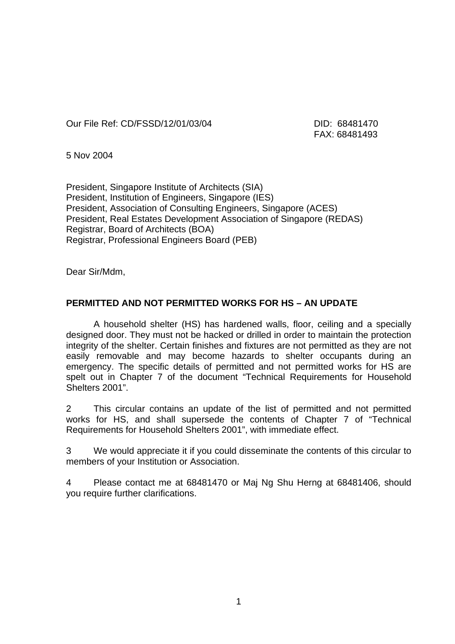Our File Ref: CD/FSSD/12/01/03/04 DID: 68481470

FAX: 68481493

5 Nov 2004

President, Singapore Institute of Architects (SIA) President, Institution of Engineers, Singapore (IES) President, Association of Consulting Engineers, Singapore (ACES) President, Real Estates Development Association of Singapore (REDAS) Registrar, Board of Architects (BOA) Registrar, Professional Engineers Board (PEB)

Dear Sir/Mdm,

## **PERMITTED AND NOT PERMITTED WORKS FOR HS – AN UPDATE**

A household shelter (HS) has hardened walls, floor, ceiling and a specially designed door. They must not be hacked or drilled in order to maintain the protection integrity of the shelter. Certain finishes and fixtures are not permitted as they are not easily removable and may become hazards to shelter occupants during an emergency. The specific details of permitted and not permitted works for HS are spelt out in Chapter 7 of the document "Technical Requirements for Household Shelters 2001".

2 This circular contains an update of the list of permitted and not permitted works for HS, and shall supersede the contents of Chapter 7 of "Technical Requirements for Household Shelters 2001", with immediate effect.

3 We would appreciate it if you could disseminate the contents of this circular to members of your Institution or Association.

4 Please contact me at 68481470 or Maj Ng Shu Herng at 68481406, should you require further clarifications.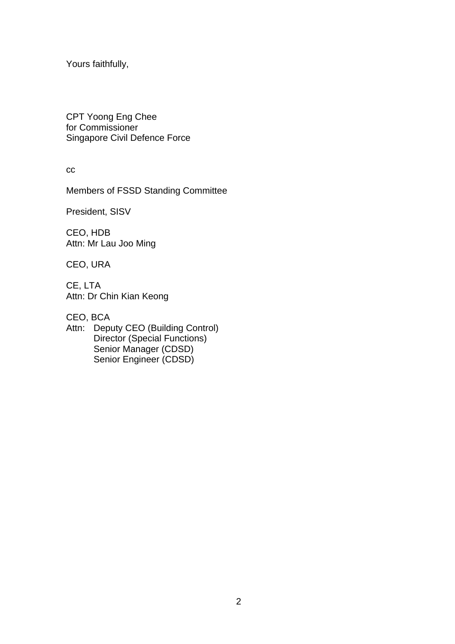Yours faithfully,

CPT Yoong Eng Chee for Commissioner Singapore Civil Defence Force

cc

Members of FSSD Standing Committee

President, SISV

CEO, HDB Attn: Mr Lau Joo Ming

CEO, URA

CE, LTA Attn: Dr Chin Kian Keong

CEO, BCA

Attn: Deputy CEO (Building Control) Director (Special Functions) Senior Manager (CDSD) Senior Engineer (CDSD)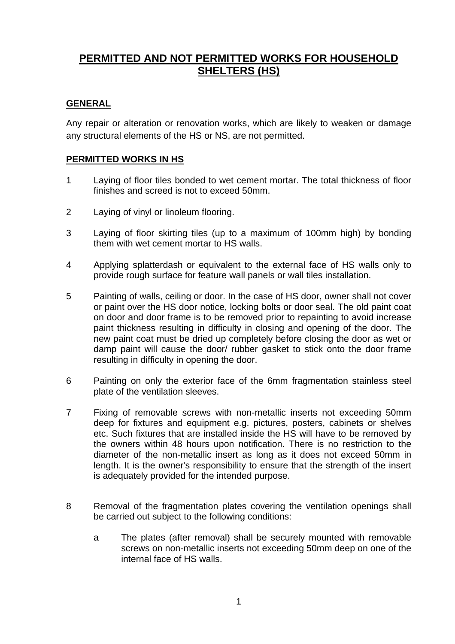# **PERMITTED AND NOT PERMITTED WORKS FOR HOUSEHOLD SHELTERS (HS)**

# **GENERAL**

Any repair or alteration or renovation works, which are likely to weaken or damage any structural elements of the HS or NS, are not permitted.

#### **PERMITTED WORKS IN HS**

- 1 Laying of floor tiles bonded to wet cement mortar. The total thickness of floor finishes and screed is not to exceed 50mm.
- 2 Laying of vinyl or linoleum flooring.
- 3 Laying of floor skirting tiles (up to a maximum of 100mm high) by bonding them with wet cement mortar to HS walls.
- 4 Applying splatterdash or equivalent to the external face of HS walls only to provide rough surface for feature wall panels or wall tiles installation.
- 5 Painting of walls, ceiling or door. In the case of HS door, owner shall not cover or paint over the HS door notice, locking bolts or door seal. The old paint coat on door and door frame is to be removed prior to repainting to avoid increase paint thickness resulting in difficulty in closing and opening of the door. The new paint coat must be dried up completely before closing the door as wet or damp paint will cause the door/ rubber gasket to stick onto the door frame resulting in difficulty in opening the door.
- 6 Painting on only the exterior face of the 6mm fragmentation stainless steel plate of the ventilation sleeves.
- 7 Fixing of removable screws with non-metallic inserts not exceeding 50mm deep for fixtures and equipment e.g. pictures, posters, cabinets or shelves etc. Such fixtures that are installed inside the HS will have to be removed by the owners within 48 hours upon notification. There is no restriction to the diameter of the non-metallic insert as long as it does not exceed 50mm in length. It is the owner's responsibility to ensure that the strength of the insert is adequately provided for the intended purpose.
- 8 Removal of the fragmentation plates covering the ventilation openings shall be carried out subject to the following conditions:
	- a The plates (after removal) shall be securely mounted with removable screws on non-metallic inserts not exceeding 50mm deep on one of the internal face of HS walls.